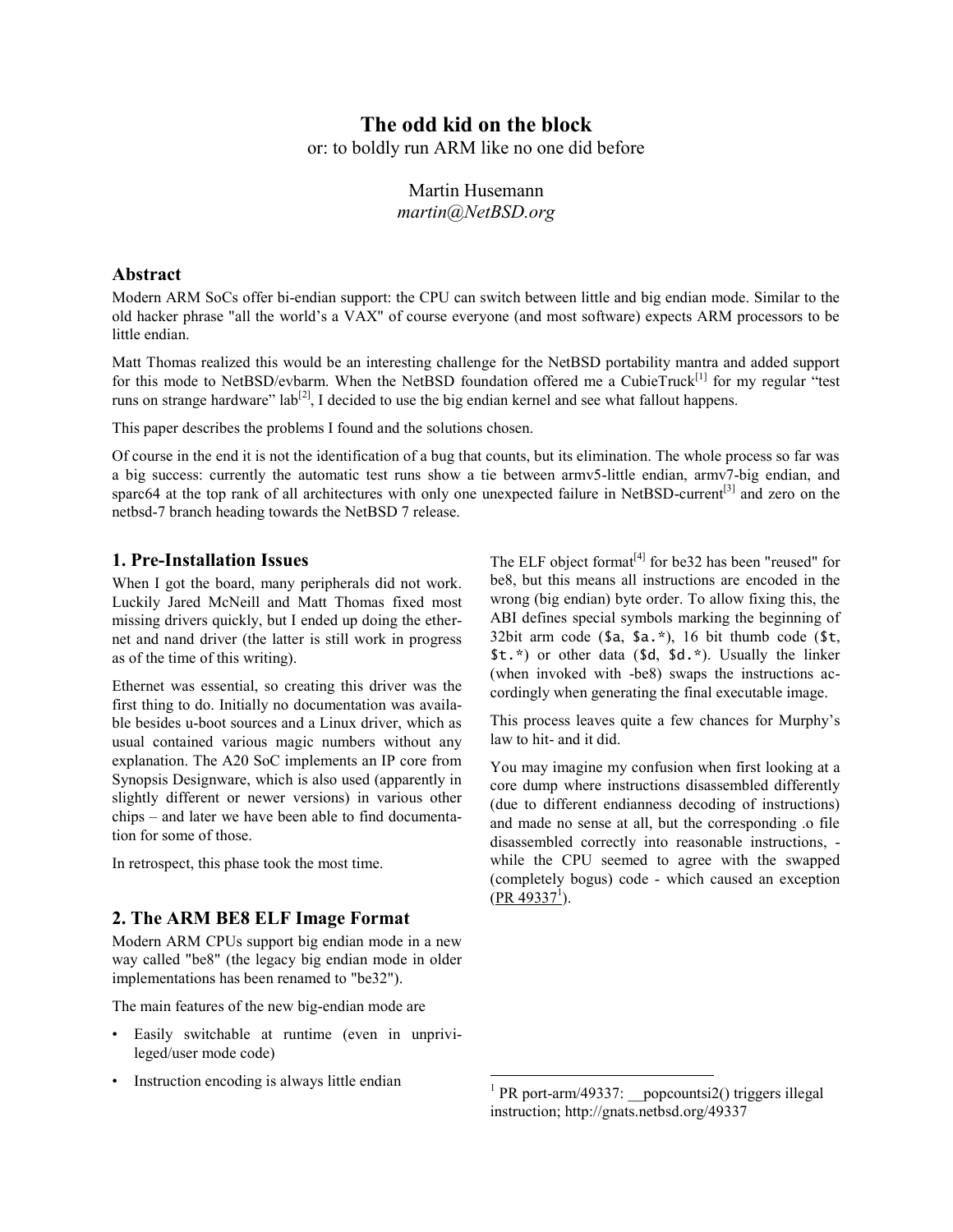# **The odd kid on the block**

or: to boldly run ARM like no one did before

# Martin Husemann *martin@NetBSD.org*

### **Abstract**

Modern ARM SoCs offer bi-endian support: the CPU can switch between little and big endian mode. Similar to the old hacker phrase "all the world's a VAX" of course everyone (and most software) expects ARM processors to be little endian.

Matt Thomas realized this would be an interesting challenge for the NetBSD portability mantra and added support for this mode to NetBSD/evbarm. When the NetBSD foundation offered me a CubieTruck<sup>[1]</sup> for my regular "test" runs on strange hardware"  $\text{lab}^{[2]}$ , I decided to use the big endian kernel and see what fallout happens.

This paper describes the problems I found and the solutions chosen.

Of course in the end it is not the identification of a bug that counts, but its elimination. The whole process so far was a big success: currently the automatic test runs show a tie between armv5-little endian, armv7-big endian, and sparc64 at the top rank of all architectures with only one unexpected failure in NetBSD-current<sup>[3]</sup> and zero on the netbsd-7 branch heading towards the NetBSD 7 release.

### **1. Pre-Installation Issues**

When I got the board, many peripherals did not work. Luckily Jared McNeill and Matt Thomas fixed most missing drivers quickly, but I ended up doing the ethernet and nand driver (the latter is still work in progress as of the time of this writing).

Ethernet was essential, so creating this driver was the first thing to do. Initially no documentation was available besides u-boot sources and a Linux driver, which as usual contained various magic numbers without any explanation. The A20 SoC implements an IP core from Synopsis Designware, which is also used (apparently in slightly different or newer versions) in various other chips – and later we have been able to find documentation for some of those.

In retrospect, this phase took the most time.

### **2. The ARM BE8 ELF Image Format**

Modern ARM CPUs support big endian mode in a new way called "be8" (the legacy big endian mode in older implementations has been renamed to "be32").

The main features of the new big-endian mode are

- Easily switchable at runtime (even in unprivileged/user mode code)
- Instruction encoding is always little endian

The ELF object format $^{[4]}$  for be32 has been "reused" for be8, but this means all instructions are encoded in the wrong (big endian) byte order. To allow fixing this, the ABI defines special symbols marking the beginning of 32bit arm code  $(\text{sa}, \text{sa}, \text{*})$ , 16 bit thumb code  $(\text{st}, \text{sa}, \text{sa}, \text{sa}, \text{as}, \text{as}, \text{as}, \text{as}, \text{as}, \text{as})$ \$t.\*) or other data (\$d, \$d.\*). Usually the linker (when invoked with -be8) swaps the instructions accordingly when generating the final executable image.

This process leaves quite a few chances for Murphy's law to hit- and it did.

You may imagine my confusion when first looking at a core dump where instructions disassembled differently (due to different endianness decoding of instructions) and made no sense at all, but the corresponding .o file disassembled correctly into reasonable instructions, while the CPU seemed to agree with the swapped (completely bogus) code - which caused an exception  $(PR 49337<sup>1</sup>)$  $(PR 49337<sup>1</sup>)$ .

<sup>&</sup>lt;sup>1</sup> PR port-arm/49337: popcountsi2() triggers illegal instruction; http://gnats.netbsd.org/49337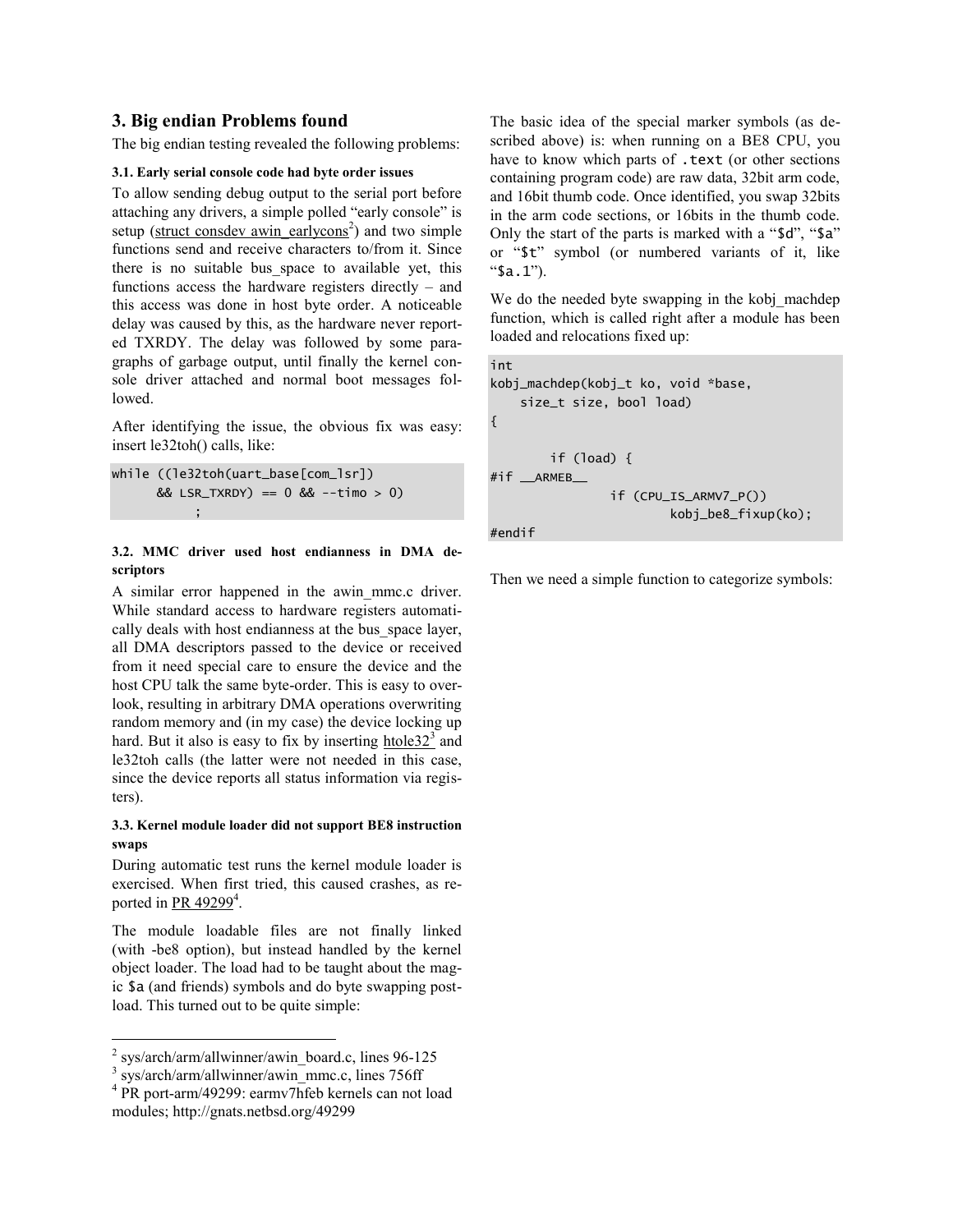### **3. Big endian Problems found**

The big endian testing revealed the following problems:

#### **3.1. Early serial console code had byte order issues**

To allow sending debug output to the serial port before attaching any drivers, a simple polled "early console" is setup (struct consdev awin earlycons<sup>2</sup>) and two simple functions send and receive characters to/from it. Since there is no suitable bus space to available yet, this functions access the hardware registers directly – and this access was done in host byte order. A noticeable delay was caused by this, as the hardware never reported TXRDY. The delay was followed by some paragraphs of garbage output, until finally the kernel console driver attached and normal boot messages followed.

After identifying the issue, the obvious fix was easy: insert le32toh() calls, like:

```
while ((le32toh(uart_base[com_lsr])
                         & 2x \text{ LSR_TXRDY} = 0 & 2x - \text{time} > 0\mathbf{r}; \mathbf{r}; \mathbf{r}; \mathbf{r}; \mathbf{r}; \mathbf{r}; \mathbf{r}; \mathbf{r}; \mathbf{r}; \mathbf{r}; \mathbf{r}; \mathbf{r}; \mathbf{r}; \mathbf{r}; \mathbf{r}; \mathbf{r}; \mathbf{r}; \mathbf{r}; \mathbf{r}; \mathbf{r}; \mathbf{r}; \mathbf{r};
```
#### **3.2. MMC driver used host endianness in DMA descriptors**

A similar error happened in the awin\_mmc.c driver. While standard access to hardware registers automatically deals with host endianness at the bus\_space layer, all DMA descriptors passed to the device or received from it need special care to ensure the device and the host CPU talk the same byte-order. This is easy to overlook, resulting in arbitrary DMA operations overwriting random memory and (in my case) the device locking up hard. But it also is easy to fix by inserting  $htole32<sup>3</sup>$  and</u> le32toh calls (the latter were not needed in this case, since the device reports all status information via registers).

#### **3.3. Kernel module loader did not support BE8 instruction swaps**

During automatic test runs the kernel module loader is exercised. When first tried, this caused crashes, as reported in PR  $49299<sup>4</sup>$ .

The module loadable files are not finally linked (with -be8 option), but instead handled by the kernel object loader. The load had to be taught about the magic \$a (and friends) symbols and do byte swapping postload. This turned out to be quite simple:

```
<sup>3</sup> sys/arch/arm/allwinner/awin_mmc.c, lines 756ff
```
 $\overline{a}$ 

```
4
PR port-arm/49299: earmv7hfeb kernels can not load 
modules; http://gnats.netbsd.org/49299
```
The basic idea of the special marker symbols (as described above) is: when running on a BE8 CPU, you have to know which parts of .text (or other sections containing program code) are raw data, 32bit arm code, and 16bit thumb code. Once identified, you swap 32bits in the arm code sections, or 16bits in the thumb code. Only the start of the parts is marked with a "\$d", "\$a" or "\$t" symbol (or numbered variants of it, like "\$a.1").

We do the needed byte swapping in the kobj machdep function, which is called right after a module has been loaded and relocations fixed up:

```
int
kobj_machdep(kobj_t ko, void *base,
     size_t size, bool load)
{ 
         if (load) {
#if __ARMEB__
                  if (CPU_IS_ARMV7_P())
                           kobj_be8_fixup(ko);
#endif
```
Then we need a simple function to categorize symbols:

 $2$  sys/arch/arm/allwinner/awin\_board.c, lines 96-125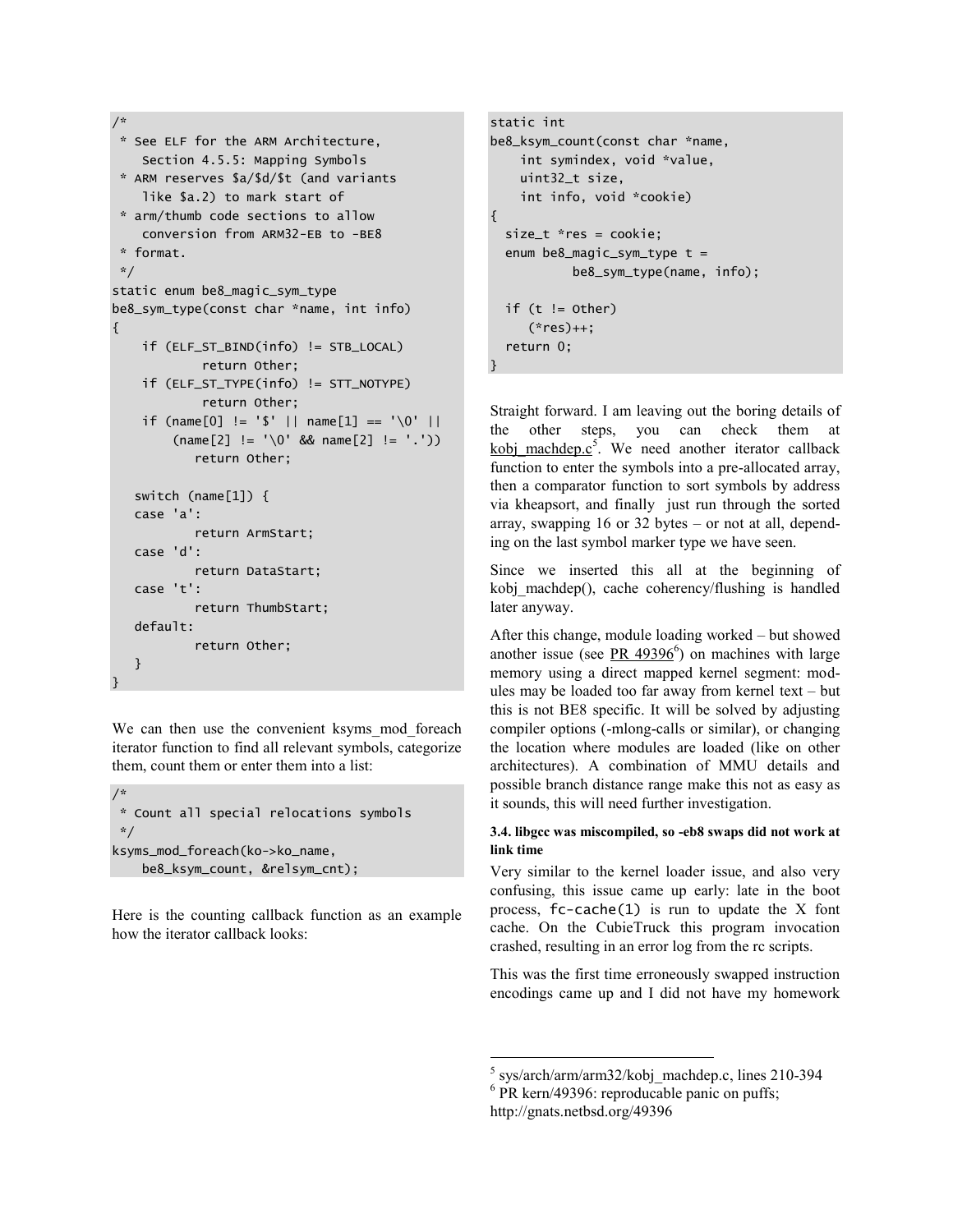```
/*
* See ELF for the ARM Architecture,
     Section 4.5.5: Mapping Symbols
 * ARM reserves $a/$d/$t (and variants
     like $a.2) to mark start of
 * arm/thumb code sections to allow
     conversion from ARM32-EB to -BE8
 * format.
 */
static enum be8_magic_sym_type
be8_sym_type(const char *name, int info)
{
     if (ELF_ST_BIND(info) != STB_LOCAL)
             return Other; 
     if (ELF_ST_TYPE(info) != STT_NOTYPE)
             return Other;
    if (name[0] != '$' || name[1] == '\0' ||
        (name [2] != '\\0' & %name [2] != '') return Other;
    switch (name[1]) {
    case 'a':
            return ArmStart;
    case 'd':
            return DataStart;
    case 't':
            return ThumbStart;
    default: 
            return Other;
    }
}
```
We can then use the convenient ksyms mod foreach iterator function to find all relevant symbols, categorize them, count them or enter them into a list:

```
/*
* Count all special relocations symbols
*/
ksyms_mod_foreach(ko->ko_name,
     be8_ksym_count, &relsym_cnt);
```
Here is the counting callback function as an example how the iterator callback looks:

```
static int
be8_ksym_count(const char *name,
     int symindex, void *value,
     uint32_t size,
     int info, void *cookie)
{ 
  size t * res = cookie:
   enum be8_magic_sym_type t =
            be8_sym_type(name, info);
  if (t != other) (*res)++;
   return 0;
}
```
Straight forward. I am leaving out the boring details of the other steps, you can check them at kobj machdep. $c^5$ . We need another iterator callback function to enter the symbols into a pre-allocated array, then a comparator function to sort symbols by address via kheapsort, and finally just run through the sorted array, swapping 16 or 32 bytes – or not at all, depending on the last symbol marker type we have seen.

Since we inserted this all at the beginning of kobj machdep(), cache coherency/flushing is handled later anyway.

After this change, module loading worked – but showed another issue (see  $PR$  49396<sup>6</sup>) on machines with large memory using a direct mapped kernel segment: modules may be loaded too far away from kernel text – but this is not BE8 specific. It will be solved by adjusting compiler options (-mlong-calls or similar), or changing the location where modules are loaded (like on other architectures). A combination of MMU details and possible branch distance range make this not as easy as it sounds, this will need further investigation.

#### **3.4. libgcc was miscompiled, so -eb8 swaps did not work at link time**

Very similar to the kernel loader issue, and also very confusing, this issue came up early: late in the boot process,  $fc$ -cache $(1)$  is run to update the X font cache. On the CubieTruck this program invocation crashed, resulting in an error log from the rc scripts.

This was the first time erroneously swapped instruction encodings came up and I did not have my homework

5 sys/arch/arm/arm32/kobj\_machdep.c, lines 210-394

http://gnats.netbsd.org/49396

 $\overline{a}$ 

<sup>&</sup>lt;sup>6</sup> PR kern/49396: reproducable panic on puffs;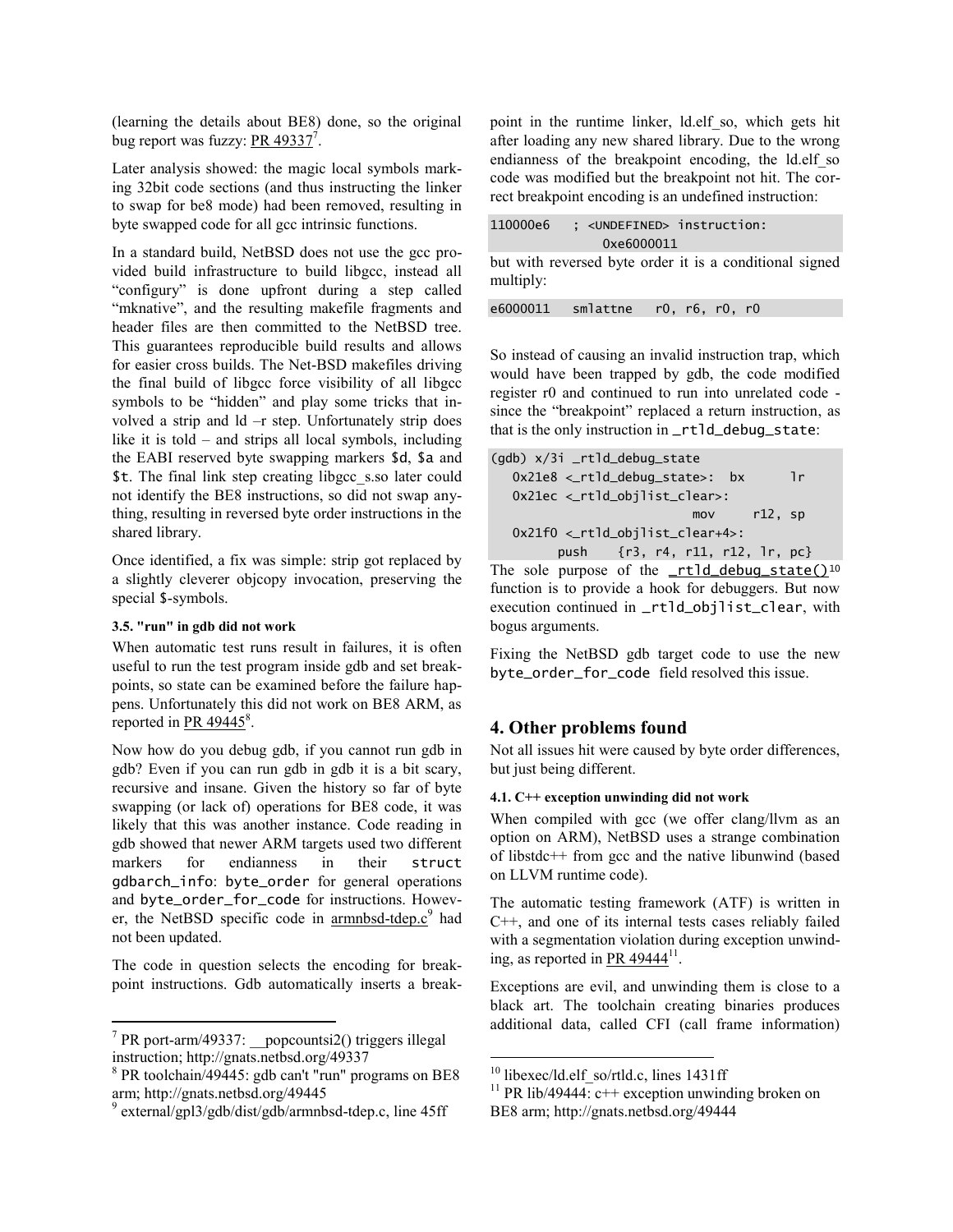(learning the details about BE8) done, so the original bug report was fuzzy:  $PR$  49337<sup>7</sup>.

Later analysis showed: the magic local symbols marking 32bit code sections (and thus instructing the linker to swap for be8 mode) had been removed, resulting in byte swapped code for all gcc intrinsic functions.

In a standard build, NetBSD does not use the gcc provided build infrastructure to build libgcc, instead all "configury" is done upfront during a step called "mknative", and the resulting makefile fragments and header files are then committed to the NetBSD tree. This guarantees reproducible build results and allows for easier cross builds. The Net-BSD makefiles driving the final build of libgcc force visibility of all libgcc symbols to be "hidden" and play some tricks that involved a strip and ld –r step. Unfortunately strip does like it is told – and strips all local symbols, including the EABI reserved byte swapping markers \$d, \$a and \$t. The final link step creating libgcc\_s.so later could not identify the BE8 instructions, so did not swap anything, resulting in reversed byte order instructions in the shared library.

Once identified, a fix was simple: strip got replaced by a slightly cleverer objcopy invocation, preserving the special \$-symbols.

#### **3.5. "run" in gdb did not work**

When automatic test runs result in failures, it is often useful to run the test program inside gdb and set breakpoints, so state can be examined before the failure happens. Unfortunately this did not work on BE8 ARM, as reported in  $PR$  49445 $^8$ .

Now how do you debug gdb, if you cannot run gdb in gdb? Even if you can run gdb in gdb it is a bit scary, recursive and insane. Given the history so far of byte swapping (or lack of) operations for BE8 code, it was likely that this was another instance. Code reading in gdb showed that newer ARM targets used two different markers for endianness in their struct gdbarch\_info: byte\_order for general operations and byte\_order\_for\_code for instructions. However, the NetBSD specific code in [armnbsd-tdep.c](http://nxr.netbsd.org/xref/src/external/gpl3/gdb/dist/gdb/armnbsd-tdep.c#45)<sup>9</sup> had not been updated.

The code in question selects the encoding for breakpoint instructions. Gdb automatically inserts a breakpoint in the runtime linker, ld.elf\_so, which gets hit after loading any new shared library. Due to the wrong endianness of the breakpoint encoding, the ld.elf\_so code was modified but the breakpoint not hit. The correct breakpoint encoding is an undefined instruction:

| 110000e6 | : <undefined> instruction:</undefined> |  |
|----------|----------------------------------------|--|
|          | 0xe6000011                             |  |

but with reversed byte order it is a conditional signed multiply:

|  | e6000011 | smlattne |  |  | r0, r6, r0, r0 |  |
|--|----------|----------|--|--|----------------|--|
|--|----------|----------|--|--|----------------|--|

So instead of causing an invalid instruction trap, which would have been trapped by gdb, the code modified register r0 and continued to run into unrelated code since the "breakpoint" replaced a return instruction, as that is the only instruction in \_rtld\_debug\_state:

```
(gdb) x/3i _rtld_debug_state
  0x21e8 <_rtld_debug_state>: bx lr
   0x21ec <_rtld_objlist_clear>:
                          mov r12, sp
   0x21f0 <_rtld_objlist_clear+4>:
         push {r3, r4, r11, r12, lr, pc}
```
The sole purpose of the  $<sub>rt1d</sub>$ -debug\_state()<sup>10</sup></sub> function is to provide a hook for debuggers. But now execution continued in \_rtld\_objlist\_clear, with bogus arguments.

Fixing the NetBSD gdb target code to use the new byte\_order\_for\_code field resolved this issue.

### **4. Other problems found**

Not all issues hit were caused by byte order differences, but just being different.

#### **4.1. C++ exception unwinding did not work**

When compiled with gcc (we offer clang/llvm as an option on ARM), NetBSD uses a strange combination of libstdc++ from gcc and the native libunwind (based on LLVM runtime code).

The automatic testing framework (ATF) is written in C++, and one of its internal tests cases reliably failed with a segmentation violation during exception unwinding, as reported in PR  $49444^{11}$ .

Exceptions are evil, and unwinding them is close to a black art. The toolchain creating binaries produces additional data, called CFI (call frame information)

 $\overline{a}$ 

 7 PR port-arm/49337: \_\_popcountsi2() triggers illegal instruction; http://gnats.netbsd.org/49337

<sup>8</sup> PR toolchain/49445: gdb can't "run" programs on BE8 arm; http://gnats.netbsd.org/49445

<sup>9</sup> external/gpl3/gdb/dist/gdb/armnbsd-tdep.c, line 45ff

 $10$  libexec/ld.elf so/rtld.c, lines 1431ff

<sup>&</sup>lt;sup>11</sup> PR lib/49444:  $c++$  exception unwinding broken on BE8 arm; http://gnats.netbsd.org/49444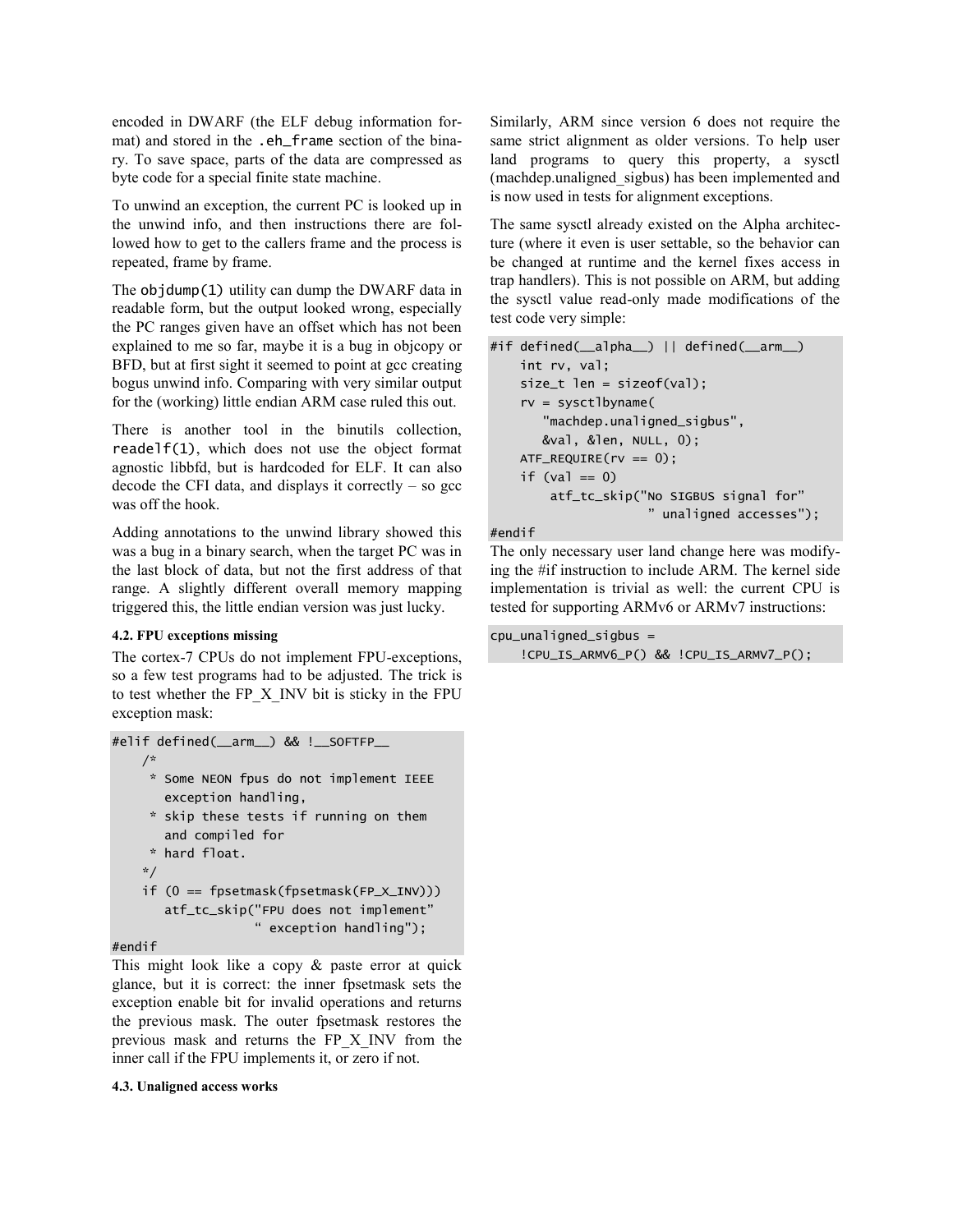encoded in DWARF (the ELF debug information format) and stored in the .eh frame section of the binary. To save space, parts of the data are compressed as byte code for a special finite state machine.

To unwind an exception, the current PC is looked up in the unwind info, and then instructions there are followed how to get to the callers frame and the process is repeated, frame by frame.

The objdump(1) utility can dump the DWARF data in readable form, but the output looked wrong, especially the PC ranges given have an offset which has not been explained to me so far, maybe it is a bug in objcopy or BFD, but at first sight it seemed to point at gcc creating bogus unwind info. Comparing with very similar output for the (working) little endian ARM case ruled this out.

There is another tool in the binutils collection, readelf(1), which does not use the object format agnostic libbfd, but is hardcoded for ELF. It can also decode the CFI data, and displays it correctly  $-$  so gcc was off the hook.

Adding annotations to the unwind library showed this was a bug in a binary search, when the target PC was in the last block of data, but not the first address of that range. A slightly different overall memory mapping triggered this, the little endian version was just lucky.

#### **4.2. FPU exceptions missing**

The cortex-7 CPUs do not implement FPU-exceptions, so a few test programs had to be adjusted. The trick is to test whether the FP\_X\_INV bit is sticky in the FPU exception mask:

```
#elif defined(__arm__) && !__SOFTFP__
     /*
      * Some NEON fpus do not implement IEEE
        exception handling,
      * skip these tests if running on them
        and compiled for
      * hard float.
     */
     if (0 == fpsetmask(fpsetmask(FP_X_INV)))
        atf_tc_skip("FPU does not implement"
                     " exception handling");
```
#### #endif

This might look like a copy & paste error at quick glance, but it is correct: the inner fpsetmask sets the exception enable bit for invalid operations and returns the previous mask. The outer fpsetmask restores the previous mask and returns the FP\_X\_INV from the inner call if the FPU implements it, or zero if not.

#### **4.3. Unaligned access works**

Similarly, ARM since version 6 does not require the same strict alignment as older versions. To help user land programs to query this property, a sysctl (machdep.unaligned\_sigbus) has been implemented and is now used in tests for alignment exceptions.

The same sysctl already existed on the Alpha architecture (where it even is user settable, so the behavior can be changed at runtime and the kernel fixes access in trap handlers). This is not possible on ARM, but adding the sysctl value read-only made modifications of the test code very simple:

```
#if defined(__alpha__) || defined(__arm__)
     int rv, val;
     size_t len = sizeof(val);
     rv = sysctlbyname(
        "machdep.unaligned_sigbus",
        &val, &len, NULL, 0);
    ATF_REQUIRE(rv == 0);if (va) == 0) atf_tc_skip("No SIGBUS signal for"
                       " unaligned accesses");
```
#endif

The only necessary user land change here was modifying the #if instruction to include ARM. The kernel side implementation is trivial as well: the current CPU is tested for supporting ARMv6 or ARMv7 instructions:

```
cpu_unaligned_sigbus =
     !CPU_IS_ARMV6_P() && !CPU_IS_ARMV7_P();
```